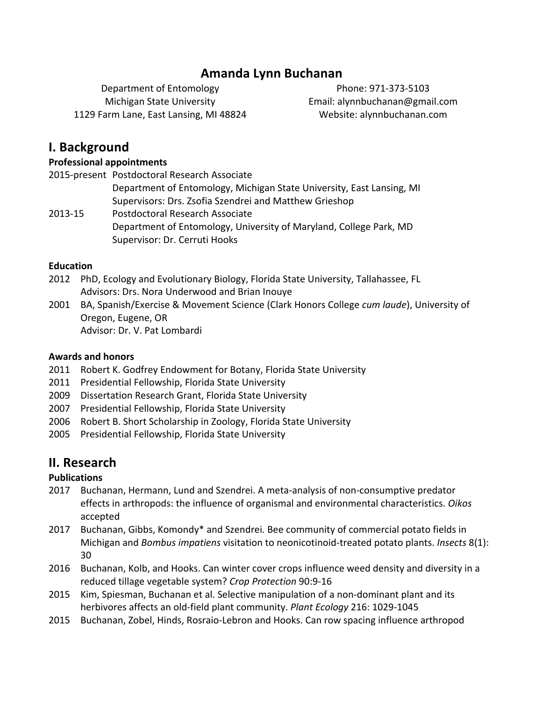## **Amanda Lynn Buchanan**

Department of Entomology Michigan State University 1129 Farm Lane, East Lansing, MI 48824

Phone: 971-373-5103 Email: alynnbuchanan@gmail.com Website: alynnbuchanan.com

## **I. Background**

#### **Professional appointments**

2015-present Postdoctoral Research Associate Department of Entomology, Michigan State University, East Lansing, MI Supervisors: Drs. Zsofia Szendrei and Matthew Grieshop 2013-15 Postdoctoral Research Associate Department of Entomology, University of Maryland, College Park, MD Supervisor: Dr. Cerruti Hooks

#### **Education**

- 2012 PhD, Ecology and Evolutionary Biology, Florida State University, Tallahassee, FL Advisors: Drs. Nora Underwood and Brian Inouye
- 2001 BA, Spanish/Exercise & Movement Science (Clark Honors College *cum laude*), University of Oregon, Eugene, OR Advisor: Dr. V. Pat Lombardi

### **Awards and honors**

- 2011 Robert K. Godfrey Endowment for Botany, Florida State University
- 2011 Presidential Fellowship, Florida State University
- 2009 Dissertation Research Grant, Florida State University
- 2007 Presidential Fellowship, Florida State University
- 2006 Robert B. Short Scholarship in Zoology, Florida State University
- 2005 Presidential Fellowship, Florida State University

## **II. Research**

### **Publications**

- 2017 Buchanan, Hermann, Lund and Szendrei. A meta-analysis of non-consumptive predator effects in arthropods: the influence of organismal and environmental characteristics. *Oikos* accepted
- 2017 Buchanan, Gibbs, Komondy\* and Szendrei. Bee community of commercial potato fields in Michigan and *Bombus impatiens* visitation to neonicotinoid-treated potato plants. *Insects* 8(1): 30
- 2016 Buchanan, Kolb, and Hooks. Can winter cover crops influence weed density and diversity in a reduced tillage vegetable system? *Crop Protection* 90:9-16
- 2015 Kim, Spiesman, Buchanan et al. Selective manipulation of a non-dominant plant and its herbivores affects an old-field plant community. *Plant Ecology* 216: 1029-1045
- 2015 Buchanan, Zobel, Hinds, Rosraio-Lebron and Hooks. Can row spacing influence arthropod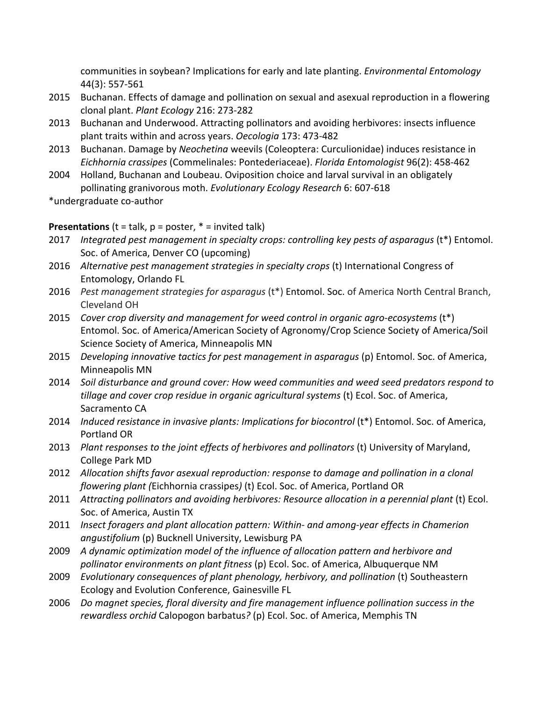communities in soybean? Implications for early and late planting. *Environmental Entomology* 44(3): 557-561

- 2015 Buchanan. Effects of damage and pollination on sexual and asexual reproduction in a flowering clonal plant. *Plant Ecology* 216: 273-282
- 2013 Buchanan and Underwood. Attracting pollinators and avoiding herbivores: insects influence plant traits within and across years. Oecologia 173: 473-482
- 2013 Buchanan. Damage by *Neochetina* weevils (Coleoptera: Curculionidae) induces resistance in *Eichhornia crassipes* (Commelinales: Pontederiaceae). *Florida Entomologist* 96(2): 458-462
- 2004 Holland, Buchanan and Loubeau. Oviposition choice and larval survival in an obligately pollinating granivorous moth. *Evolutionary Ecology Research* 6: 607-618
- \*undergraduate co-author

**Presentations** (t = talk,  $p =$  poster,  $* =$  invited talk)

- 2017 *Integrated pest management in specialty crops: controlling key pests of asparagus* (t\*) Entomol. Soc. of America, Denver CO (upcoming)
- 2016 Alternative pest management strategies in specialty crops (t) International Congress of Entomology, Orlando FL
- 2016 *Pest management strategies for asparagus* (t\*) Entomol. Soc. of America North Central Branch, Cleveland OH
- 2015 *Cover crop diversity and management for weed control in organic agro-ecosystems* (t<sup>\*</sup>) Entomol. Soc. of America/American Society of Agronomy/Crop Science Society of America/Soil Science Society of America, Minneapolis MN
- 2015 *Developing innovative tactics for pest management in asparagus* (p) Entomol. Soc. of America, Minneapolis MN
- 2014 Soil disturbance and ground cover: How weed communities and weed seed predators respond to *tillage and cover crop residue in organic agricultural systems* (t) Ecol. Soc. of America, Sacramento CA
- 2014 *Induced resistance in invasive plants: Implications for biocontrol* (t\*) Entomol. Soc. of America, Portland OR
- 2013 Plant responses to the joint effects of herbivores and pollinators (t) University of Maryland, College Park MD
- 2012 Allocation shifts favor asexual reproduction: response to damage and pollination in a clonal *flowering plant (Eichhornia crassipes)* (t) Ecol. Soc. of America, Portland OR
- 2011 Attracting pollinators and avoiding herbivores: Resource allocation in a perennial plant (t) Ecol. Soc. of America, Austin TX
- 2011 *Insect foragers and plant allocation pattern: Within- and among-year effects in Chamerion angustifolium* (p) Bucknell University, Lewisburg PA
- 2009 A dynamic optimization model of the influence of allocation pattern and herbivore and *pollinator environments on plant fitness* (p) Ecol. Soc. of America, Albuquerque NM
- 2009 *Evolutionary consequences of plant phenology, herbivory, and pollination* (t) Southeastern Ecology and Evolution Conference, Gainesville FL
- 2006 *Do magnet species, floral diversity and fire management influence pollination success in the rewardless orchid* Calopogon barbatus? (p) Ecol. Soc. of America, Memphis TN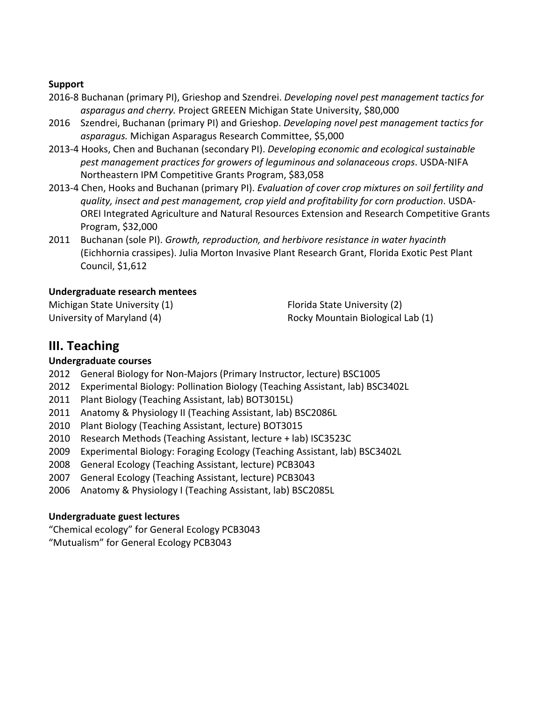#### **Support**

- 2016-8 Buchanan (primary PI), Grieshop and Szendrei. *Developing novel pest management tactics for* asparagus and cherry. Project GREEEN Michigan State University, \$80,000
- 2016 Szendrei, Buchanan (primary PI) and Grieshop. *Developing novel pest management tactics for asparagus.* Michigan Asparagus Research Committee, \$5,000
- 2013-4 Hooks, Chen and Buchanan (secondary PI). *Developing economic and ecological sustainable pest management practices for growers of leguminous and solanaceous crops.* USDA-NIFA Northeastern IPM Competitive Grants Program, \$83,058
- 2013-4 Chen, Hooks and Buchanan (primary PI). *Evaluation of cover crop mixtures on soil fertility and quality, insect and pest management, crop yield and profitability for corn production*. USDA-OREI Integrated Agriculture and Natural Resources Extension and Research Competitive Grants Program, \$32,000
- 2011 Buchanan (sole PI). *Growth, reproduction, and herbivore resistance in water hyacinth* (Eichhornia crassipes). Julia Morton Invasive Plant Research Grant, Florida Exotic Pest Plant Council, \$1,612

### **Undergraduate research mentees**

Michigan State University (1) University of Maryland (4)

Florida State University (2) Rocky Mountain Biological Lab (1)

# **III. Teaching**

### **Undergraduate courses**

- 2012 General Biology for Non-Majors (Primary Instructor, lecture) BSC1005
- 2012 Experimental Biology: Pollination Biology (Teaching Assistant, lab) BSC3402L
- 2011 Plant Biology (Teaching Assistant, lab) BOT3015L)
- 2011 Anatomy & Physiology II (Teaching Assistant, lab) BSC2086L
- 2010 Plant Biology (Teaching Assistant, lecture) BOT3015
- 2010 Research Methods (Teaching Assistant, lecture + lab) ISC3523C
- 2009 Experimental Biology: Foraging Ecology (Teaching Assistant, lab) BSC3402L
- 2008 General Ecology (Teaching Assistant, lecture) PCB3043
- 2007 General Ecology (Teaching Assistant, lecture) PCB3043
- 2006 Anatomy & Physiology I (Teaching Assistant, lab) BSC2085L

### **Undergraduate guest lectures**

"Chemical ecology" for General Ecology PCB3043

"Mutualism" for General Ecology PCB3043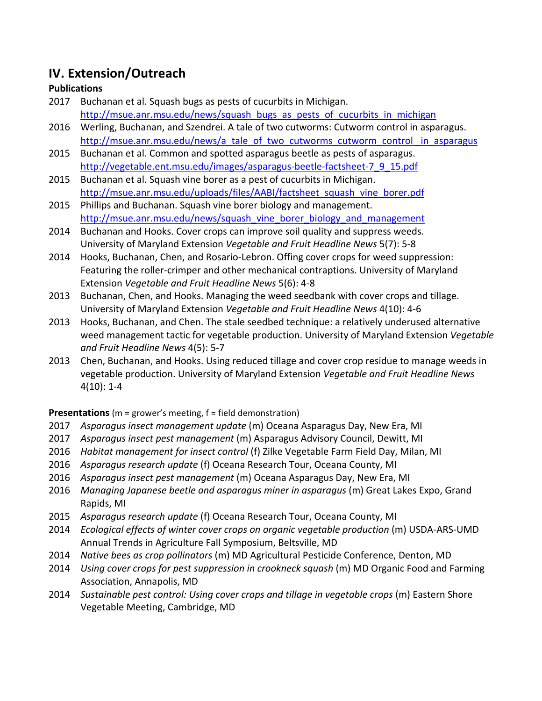# **IV. Extension/Outreach**

### **Publications**

- 2017 Buchanan et al. Squash bugs as pests of cucurbits in Michigan. http://msue.anr.msu.edu/news/squash\_bugs\_as\_pests\_of\_cucurbits\_in\_michigan
- 2016 Werling, Buchanan, and Szendrei. A tale of two cutworms: Cutworm control in asparagus. http://msue.anr.msu.edu/news/a\_tale\_of\_two\_cutworms\_cutworm\_control\_in\_asparagus
- 2015 Buchanan et al. Common and spotted asparagus beetle as pests of asparagus. http://vegetable.ent.msu.edu/images/asparagus-beetle-factsheet-7\_9\_15.pdf
- 2015 Buchanan et al. Squash vine borer as a pest of cucurbits in Michigan. http://msue.anr.msu.edu/uploads/files/AABI/factsheet\_squash\_vine\_borer.pdf
- 2015 Phillips and Buchanan. Squash vine borer biology and management. http://msue.anr.msu.edu/news/squash\_vine\_borer\_biology\_and\_management
- 2014 Buchanan and Hooks. Cover crops can improve soil quality and suppress weeds. University of Maryland Extension *Vegetable and Fruit Headline News* 5(7): 5-8
- 2014 Hooks, Buchanan, Chen, and Rosario-Lebron. Offing cover crops for weed suppression: Featuring the roller-crimper and other mechanical contraptions. University of Maryland Extension *Vegetable and Fruit Headline News* 5(6): 4-8
- 2013 Buchanan, Chen, and Hooks. Managing the weed seedbank with cover crops and tillage. University of Maryland Extension *Vegetable and Fruit Headline News* 4(10): 4-6
- 2013 Hooks, Buchanan, and Chen. The stale seedbed technique: a relatively underused alternative weed management tactic for vegetable production. University of Maryland Extension Vegetable *and Fruit Headline News* 4(5): 5-7
- 2013 Chen, Buchanan, and Hooks. Using reduced tillage and cover crop residue to manage weeds in vegetable production. University of Maryland Extension *Vegetable and Fruit Headline News*  $4(10): 1-4$

**Presentations** (m = grower's meeting, f = field demonstration)

- 2017 *Asparagus insect management update* (m) Oceana Asparagus Day, New Era, MI
- 2017 *Asparagus insect pest management* (m) Asparagus Advisory Council, Dewitt, MI
- 2016 *Habitat management for insect control* (f) Zilke Vegetable Farm Field Day, Milan, MI
- 2016 Asparagus research update (f) Oceana Research Tour, Oceana County, MI
- 2016 Asparagus insect pest management (m) Oceana Asparagus Day, New Era, MI
- 2016 *Managing Japanese beetle and asparagus miner in asparagus* (m) Great Lakes Expo, Grand Rapids, MI
- 2015 Asparagus research update (f) Oceana Research Tour, Oceana County, MI
- 2014 *Ecological effects of winter cover crops on organic vegetable production* (m) USDA-ARS-UMD Annual Trends in Agriculture Fall Symposium, Beltsville, MD
- 2014 *Native bees as crop pollinators* (m) MD Agricultural Pesticide Conference, Denton, MD
- 2014 Using cover crops for pest suppression in crookneck squash (m) MD Organic Food and Farming Association, Annapolis, MD
- 2014 Sustainable pest control: Using cover crops and tillage in vegetable crops (m) Eastern Shore Vegetable Meeting, Cambridge, MD